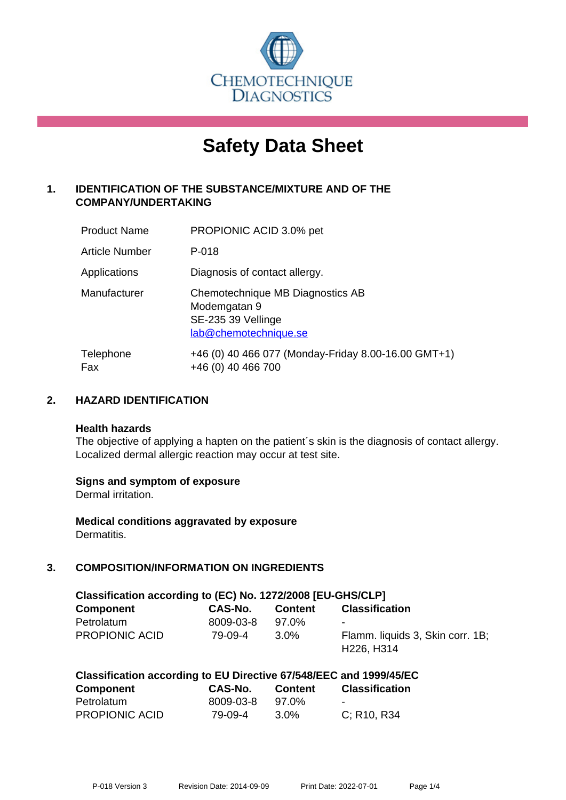

# **Safety Data Sheet**

# **1. IDENTIFICATION OF THE SUBSTANCE/MIXTURE AND OF THE COMPANY/UNDERTAKING**

| <b>Product Name</b> | PROPIONIC ACID 3.0% pet                                                                         |
|---------------------|-------------------------------------------------------------------------------------------------|
| Article Number      | P-018                                                                                           |
| Applications        | Diagnosis of contact allergy.                                                                   |
| Manufacturer        | Chemotechnique MB Diagnostics AB<br>Modemgatan 9<br>SE-235 39 Vellinge<br>lab@chemotechnique.se |
| Telephone<br>Fax    | +46 (0) 40 466 077 (Monday-Friday 8.00-16.00 GMT+1)<br>+46 (0) 40 466 700                       |

# **2. HAZARD IDENTIFICATION**

#### **Health hazards**

The objective of applying a hapten on the patient's skin is the diagnosis of contact allergy. Localized dermal allergic reaction may occur at test site.

## **Signs and symptom of exposure**

Dermal irritation.

**Medical conditions aggravated by exposure** Dermatitis.

# **3. COMPOSITION/INFORMATION ON INGREDIENTS**

| Classification according to (EC) No. 1272/2008 [EU-GHS/CLP] |           |                  |                                                                         |  |  |
|-------------------------------------------------------------|-----------|------------------|-------------------------------------------------------------------------|--|--|
| <b>Component</b>                                            | CAS-No.   | Content          | <b>Classification</b>                                                   |  |  |
| Petrolatum                                                  | 8009-03-8 | 97.0%            |                                                                         |  |  |
| <b>PROPIONIC ACID</b>                                       | 79-09-4   | 3.0 <sup>%</sup> | Flamm. liquids 3, Skin corr. 1B;<br>H <sub>226</sub> , H <sub>314</sub> |  |  |

| Classification according to EU Directive 67/548/EEC and 1999/45/EC |           |                |                       |  |  |
|--------------------------------------------------------------------|-----------|----------------|-----------------------|--|--|
| Component                                                          | CAS-No.   | <b>Content</b> | <b>Classification</b> |  |  |
| Petrolatum                                                         | 8009-03-8 | 97.0%          |                       |  |  |
| <b>PROPIONIC ACID</b>                                              | 79-09-4   | 3.0%           | C: R10, R34           |  |  |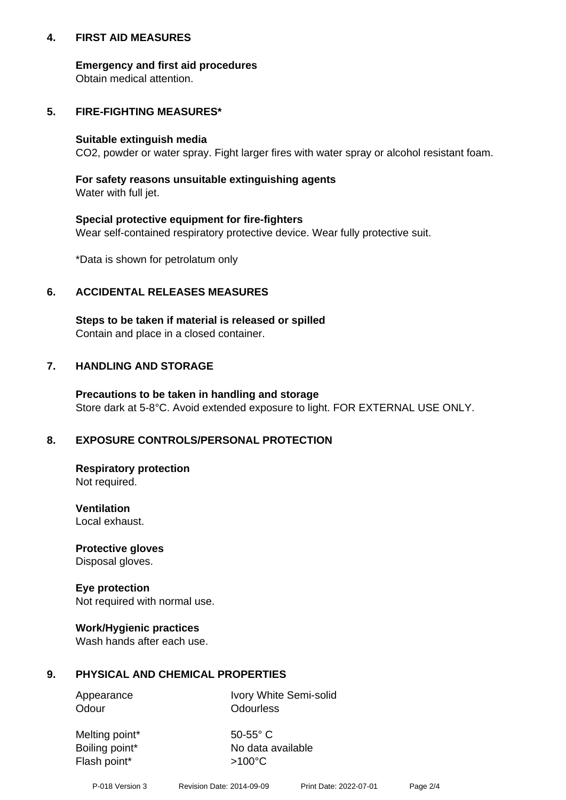## **4. FIRST AID MEASURES**

## **Emergency and first aid procedures**

Obtain medical attention.

# **5. FIRE-FIGHTING MEASURES\***

#### **Suitable extinguish media**

CO2, powder or water spray. Fight larger fires with water spray or alcohol resistant foam.

# **For safety reasons unsuitable extinguishing agents**

Water with full jet.

## **Special protective equipment for fire-fighters**

Wear self-contained respiratory protective device. Wear fully protective suit.

\*Data is shown for petrolatum only

# **6. ACCIDENTAL RELEASES MEASURES**

**Steps to be taken if material is released or spilled** Contain and place in a closed container.

# **7. HANDLING AND STORAGE**

**Precautions to be taken in handling and storage** Store dark at 5-8°C. Avoid extended exposure to light. FOR EXTERNAL USE ONLY.

# **8. EXPOSURE CONTROLS/PERSONAL PROTECTION**

**Respiratory protection** Not required.

**Ventilation** Local exhaust.

**Protective gloves** Disposal gloves.

#### **Eye protection** Not required with normal use.

## **Work/Hygienic practices**

Wash hands after each use.

## **9. PHYSICAL AND CHEMICAL PROPERTIES**

Odour **Odourless** 

Appearance Ivory White Semi-solid

Melting point\* 50-55° C Flash point\*  $>100^{\circ}$ C

Boiling point\* No data available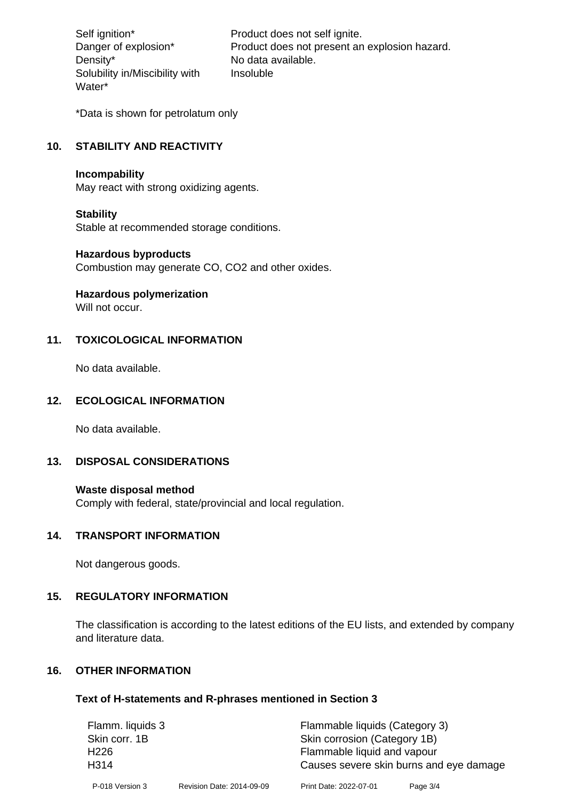Density\* No data available. Solubility in/Miscibility with Water\*

Self ignition\* Product does not self ignite. Danger of explosion\* Product does not present an explosion hazard. Insoluble

\*Data is shown for petrolatum only

# **10. STABILITY AND REACTIVITY**

#### **Incompability**

May react with strong oxidizing agents.

#### **Stability**

Stable at recommended storage conditions.

#### **Hazardous byproducts**

Combustion may generate CO, CO2 and other oxides.

**Hazardous polymerization**

Will not occur.

## **11. TOXICOLOGICAL INFORMATION**

No data available.

## **12. ECOLOGICAL INFORMATION**

No data available.

# **13. DISPOSAL CONSIDERATIONS**

#### **Waste disposal method**

Comply with federal, state/provincial and local regulation.

#### **14. TRANSPORT INFORMATION**

Not dangerous goods.

## **15. REGULATORY INFORMATION**

The classification is according to the latest editions of the EU lists, and extended by company and literature data.

#### **16. OTHER INFORMATION**

#### **Text of H-statements and R-phrases mentioned in Section 3**

| Flamm. liquids 3 |                           | Flammable liquids (Category 3)          |          |  |
|------------------|---------------------------|-----------------------------------------|----------|--|
| Skin corr. 1B    |                           | Skin corrosion (Category 1B)            |          |  |
| H <sub>226</sub> |                           | Flammable liquid and vapour             |          |  |
| H314             |                           | Causes severe skin burns and eye damage |          |  |
| P-018 Version 3  | Revision Date: 2014-09-09 | Print Date: 2022-07-01                  | Page 3/4 |  |